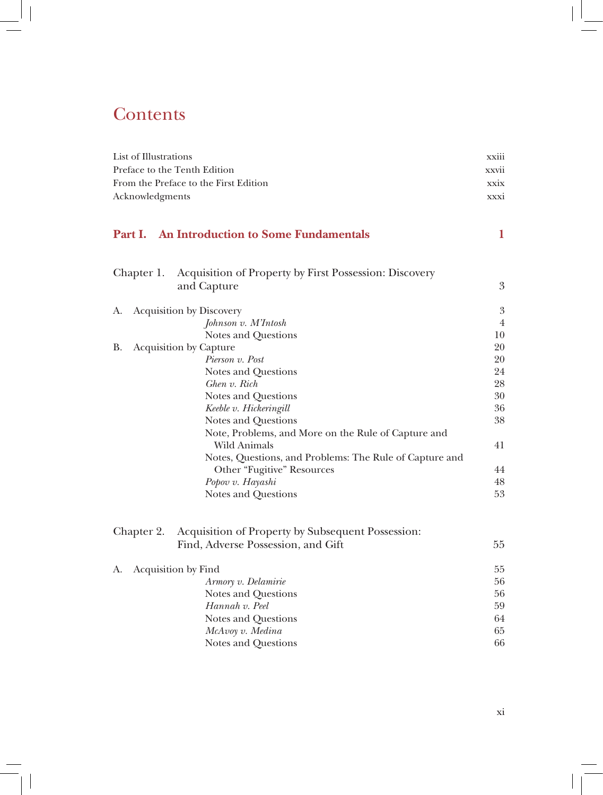# **Contents**

| List of Illustrations                                                 |                                                         |                  |  |  |                 |
|-----------------------------------------------------------------------|---------------------------------------------------------|------------------|--|--|-----------------|
| Preface to the Tenth Edition<br>From the Preface to the First Edition |                                                         |                  |  |  |                 |
|                                                                       |                                                         |                  |  |  | Acknowledgments |
|                                                                       |                                                         |                  |  |  |                 |
| Part I.                                                               | <b>An Introduction to Some Fundamentals</b>             | 1                |  |  |                 |
|                                                                       |                                                         |                  |  |  |                 |
| Chapter 1.                                                            | Acquisition of Property by First Possession: Discovery  | 3                |  |  |                 |
|                                                                       | and Capture                                             |                  |  |  |                 |
| A.                                                                    | <b>Acquisition by Discovery</b>                         | $\boldsymbol{3}$ |  |  |                 |
|                                                                       | Johnson v. M'Intosh                                     | $\overline{4}$   |  |  |                 |
|                                                                       | Notes and Questions                                     | 10               |  |  |                 |
| В.                                                                    | <b>Acquisition by Capture</b>                           | 20               |  |  |                 |
|                                                                       | Pierson v. Post                                         | 20               |  |  |                 |
|                                                                       | Notes and Questions                                     | 24               |  |  |                 |
|                                                                       | Ghen v. Rich                                            | 28               |  |  |                 |
|                                                                       | Notes and Questions                                     | 30               |  |  |                 |
|                                                                       | Keeble v. Hickeringill                                  | 36               |  |  |                 |
|                                                                       | Notes and Questions                                     | 38               |  |  |                 |
|                                                                       | Note, Problems, and More on the Rule of Capture and     |                  |  |  |                 |
|                                                                       | Wild Animals                                            | 41               |  |  |                 |
|                                                                       | Notes, Questions, and Problems: The Rule of Capture and |                  |  |  |                 |
|                                                                       | Other "Fugitive" Resources                              | 44               |  |  |                 |
|                                                                       | Popov v. Hayashi                                        | 48               |  |  |                 |
|                                                                       | Notes and Questions                                     | 53               |  |  |                 |
|                                                                       |                                                         |                  |  |  |                 |
| Chapter 2.                                                            | Acquisition of Property by Subsequent Possession:       |                  |  |  |                 |
|                                                                       | Find, Adverse Possession, and Gift                      | 55               |  |  |                 |
| А.                                                                    | Acquisition by Find                                     | 55               |  |  |                 |
|                                                                       | Armory v. Delamirie                                     | 56               |  |  |                 |
|                                                                       | Notes and Questions                                     | 56               |  |  |                 |
|                                                                       | Hannah v. Peel<br>59                                    |                  |  |  |                 |
|                                                                       | Notes and Questions                                     | 64               |  |  |                 |
|                                                                       | McAvoy v. Medina                                        | 65               |  |  |                 |
|                                                                       | Notes and Questions                                     | 66               |  |  |                 |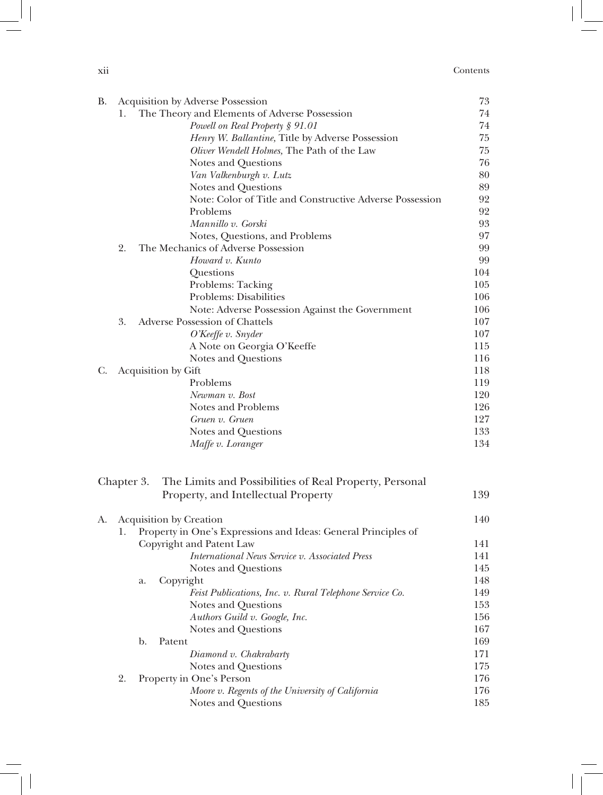| $\cdot$ . |          |
|-----------|----------|
| X11       | Contents |
| .         |          |

| В. | <b>Acquisition by Adverse Possession</b>            |                |                                                                | 73         |
|----|-----------------------------------------------------|----------------|----------------------------------------------------------------|------------|
|    | The Theory and Elements of Adverse Possession<br>1. |                |                                                                |            |
|    |                                                     |                | Powell on Real Property § 91.01                                | 74         |
|    |                                                     |                | Henry W. Ballantine, Title by Adverse Possession               | 75         |
|    |                                                     |                | Oliver Wendell Holmes, The Path of the Law                     | 75         |
|    |                                                     |                | Notes and Questions                                            | 76         |
|    |                                                     |                | Van Valkenburgh v. Lutz                                        | 80         |
|    |                                                     |                | Notes and Questions                                            | 89         |
|    |                                                     |                | Note: Color of Title and Constructive Adverse Possession       | 92         |
|    |                                                     |                | Problems                                                       | 92         |
|    |                                                     |                | Mannillo v. Gorski                                             | 93         |
|    |                                                     |                | Notes, Questions, and Problems                                 | 97         |
|    | 2.                                                  |                | The Mechanics of Adverse Possession                            | 99         |
|    |                                                     |                | Howard v. Kunto                                                | 99         |
|    |                                                     |                | Questions                                                      | 104        |
|    |                                                     |                | Problems: Tacking                                              | 105        |
|    |                                                     |                | Problems: Disabilities                                         | 106        |
|    |                                                     |                | Note: Adverse Possession Against the Government                | 106        |
|    | 3.                                                  |                | Adverse Possession of Chattels                                 | 107        |
|    |                                                     |                | O'Keeffe v. Snyder                                             | 107        |
|    |                                                     |                | A Note on Georgia O'Keeffe                                     | 115        |
|    |                                                     |                | Notes and Questions                                            | 116        |
| C. |                                                     |                |                                                                | 118        |
|    | Acquisition by Gift<br>Problems                     |                |                                                                |            |
|    |                                                     |                | Newman v. Bost                                                 | 119<br>120 |
|    |                                                     |                | Notes and Problems                                             | 126        |
|    |                                                     |                | Gruen v. Gruen                                                 | 127        |
|    |                                                     |                | Notes and Questions                                            | 133        |
|    |                                                     |                | Maffe v. Loranger                                              | 134        |
|    |                                                     |                |                                                                |            |
|    | Chapter 3.                                          |                | The Limits and Possibilities of Real Property, Personal        |            |
|    |                                                     |                | Property, and Intellectual Property                            | 139        |
|    |                                                     |                |                                                                |            |
| A. |                                                     |                | Acquisition by Creation                                        | 140        |
|    | 1.                                                  |                | Property in One's Expressions and Ideas: General Principles of |            |
|    |                                                     |                | Copyright and Patent Law                                       | 141        |
|    |                                                     |                | International News Service v. Associated Press                 | 141        |
|    |                                                     |                | Notes and Questions                                            | 145        |
|    |                                                     | a.             | Copyright                                                      | 148        |
|    |                                                     |                | Feist Publications, Inc. v. Rural Telephone Service Co.        | 149        |
|    |                                                     |                | Notes and Questions                                            | 153        |
|    |                                                     |                |                                                                | 156        |
|    |                                                     |                | Authors Guild v. Google, Inc.                                  | 167        |
|    |                                                     | $\mathbf{b}$ . | Notes and Questions<br>Patent                                  | 169        |
|    |                                                     |                |                                                                | 171        |
|    |                                                     |                | Diamond v. Chakrabarty                                         |            |
|    |                                                     |                | Notes and Questions                                            | 175        |
|    | 2.                                                  |                | Property in One's Person                                       | 176        |
|    |                                                     |                | Moore v. Regents of the University of California               | 176        |
|    |                                                     |                | Notes and Questions                                            | 185        |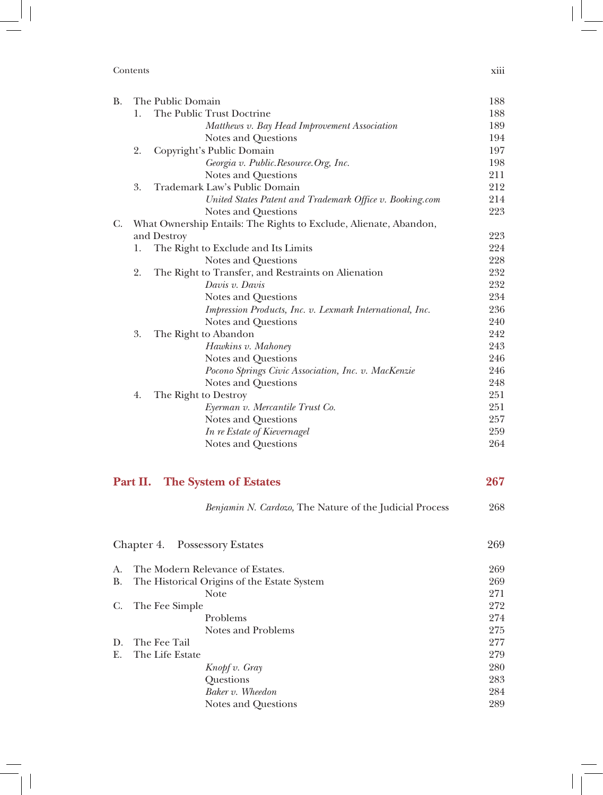| Contents | $\cdots$<br><b>X111</b><br>. |
|----------|------------------------------|
|----------|------------------------------|

 $\begin{array}{c} \hline \end{array}$ 

| <b>B.</b> | The Public Domain |                                                                   | 188 |
|-----------|-------------------|-------------------------------------------------------------------|-----|
|           | 1.                | The Public Trust Doctrine                                         | 188 |
|           |                   | Matthews v. Bay Head Improvement Association                      | 189 |
|           |                   | Notes and Questions                                               | 194 |
|           | 2.                | Copyright's Public Domain                                         | 197 |
|           |                   | Georgia v. Public.Resource.Org, Inc.                              | 198 |
|           |                   | Notes and Questions                                               | 211 |
|           | 3.                | Trademark Law's Public Domain                                     | 212 |
|           |                   | United States Patent and Trademark Office v. Booking.com          | 214 |
|           |                   | Notes and Questions                                               | 223 |
| C.        |                   | What Ownership Entails: The Rights to Exclude, Alienate, Abandon, |     |
|           |                   | and Destroy                                                       | 223 |
|           | 1.                | The Right to Exclude and Its Limits                               | 224 |
|           |                   | Notes and Questions                                               | 228 |
|           | 2.                | The Right to Transfer, and Restraints on Alienation               | 232 |
|           |                   | Davis v. Davis                                                    | 232 |
|           |                   | Notes and Questions                                               | 234 |
|           |                   | Impression Products, Inc. v. Lexmark International, Inc.          | 236 |
|           |                   | Notes and Questions                                               | 240 |
|           | 3.                | The Right to Abandon                                              | 242 |
|           |                   | Hawkins v. Mahoney                                                | 243 |
|           |                   | Notes and Questions                                               | 246 |
|           |                   | Pocono Springs Civic Association, Inc. v. MacKenzie               | 246 |
|           |                   | Notes and Questions                                               | 248 |
|           | 4.                | The Right to Destroy                                              | 251 |
|           |                   | Eyerman v. Mercantile Trust Co.                                   | 251 |
|           |                   | Notes and Questions                                               | 257 |
|           |                   | In re Estate of Kievernagel                                       | 259 |
|           |                   | Notes and Questions                                               | 264 |
|           |                   |                                                                   |     |

## **Part II. The System of Estates 267**

|           | Chapter 4. Possessory Estates |                                             | 269 |
|-----------|-------------------------------|---------------------------------------------|-----|
| A.        |                               | The Modern Relevance of Estates.            | 269 |
| <b>B.</b> |                               | The Historical Origins of the Estate System | 269 |
|           |                               | Note                                        | 271 |
| C.        | The Fee Simple                |                                             | 272 |
|           |                               | Problems                                    | 274 |
|           |                               | Notes and Problems                          | 275 |
| D.        | The Fee Tail                  |                                             | 277 |
| E.        | The Life Estate               |                                             | 279 |
|           |                               | Knopf v. Gray                               | 280 |
|           |                               | Questions                                   | 283 |
|           |                               | Baker v. Wheedon                            | 284 |
|           |                               | Notes and Questions                         | 289 |

*Benjamin N. Cardozo,* The Nature of the Judicial Process 268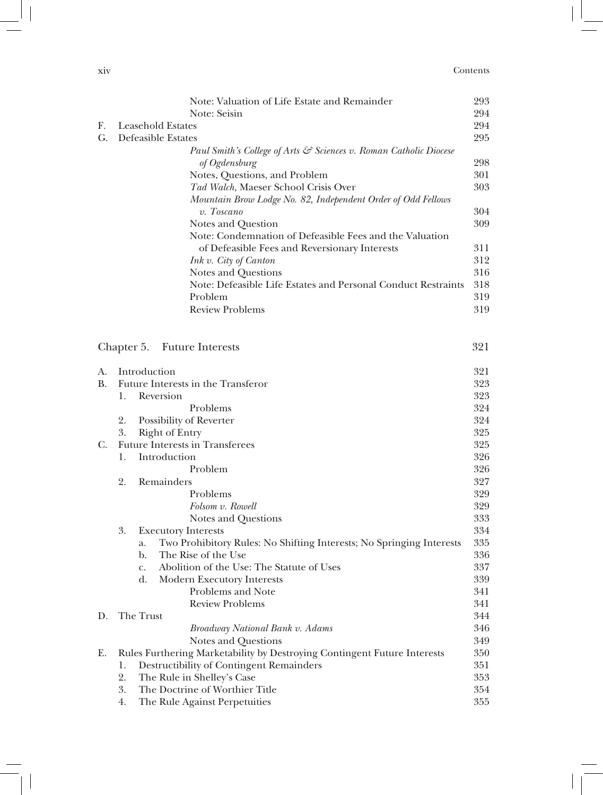| X1V | Contents |
|-----|----------|
| .   |          |

|    |                                                                   | Note: Valuation of Life Estate and Remainder                               | 293 |
|----|-------------------------------------------------------------------|----------------------------------------------------------------------------|-----|
|    |                                                                   | Note: Seisin                                                               | 294 |
| F. | 294<br><b>Leasehold Estates</b>                                   |                                                                            |     |
| G. | Defeasible Estates                                                |                                                                            | 295 |
|    | Paul Smith's College of Arts & Sciences v. Roman Catholic Diocese |                                                                            |     |
|    |                                                                   | of Ogdensburg                                                              | 298 |
|    |                                                                   | Notes, Questions, and Problem                                              | 301 |
|    |                                                                   | Tad Walch, Maeser School Crisis Over                                       | 303 |
|    |                                                                   | Mountain Brow Lodge No. 82, Independent Order of Odd Fellows               |     |
|    |                                                                   | v. Toscano                                                                 | 304 |
|    |                                                                   | Notes and Question                                                         | 309 |
|    |                                                                   | Note: Condemnation of Defeasible Fees and the Valuation                    |     |
|    |                                                                   | of Defeasible Fees and Reversionary Interests                              | 311 |
|    |                                                                   | Ink v. City of Canton                                                      | 312 |
|    |                                                                   | Notes and Questions                                                        | 316 |
|    |                                                                   | Note: Defeasible Life Estates and Personal Conduct Restraints              | 318 |
|    |                                                                   | Problem                                                                    | 319 |
|    |                                                                   | <b>Review Problems</b>                                                     | 319 |
|    |                                                                   |                                                                            |     |
|    |                                                                   |                                                                            |     |
|    | Chapter 5.                                                        | <b>Future Interests</b>                                                    | 321 |
|    |                                                                   |                                                                            |     |
| А. |                                                                   | Introduction                                                               | 321 |
| В. |                                                                   | Future Interests in the Transferor                                         | 323 |
|    | 1.                                                                | Reversion                                                                  | 323 |
|    |                                                                   | Problems                                                                   | 324 |
|    | 2.                                                                | Possibility of Reverter                                                    | 324 |
|    | 3.                                                                | <b>Right of Entry</b>                                                      | 325 |
| C. |                                                                   | <b>Future Interests in Transferees</b>                                     | 325 |
|    | 1.                                                                | Introduction                                                               | 326 |
|    |                                                                   | Problem                                                                    | 326 |
|    | 2.                                                                | Remainders                                                                 | 327 |
|    |                                                                   | Problems                                                                   | 329 |
|    |                                                                   | Folsom v. Rowell                                                           | 329 |
|    |                                                                   | Notes and Questions                                                        | 333 |
|    | 3.                                                                | <b>Executory Interests</b>                                                 | 334 |
|    |                                                                   | Two Prohibitory Rules: No Shifting Interests; No Springing Interests<br>a. | 335 |
|    |                                                                   | The Rise of the Use<br>b.                                                  | 336 |
|    |                                                                   | Abolition of the Use: The Statute of Uses<br>$C_{\bullet}$                 | 337 |
|    |                                                                   | $\mathbf{d}$ .<br><b>Modern Executory Interests</b>                        | 339 |
|    |                                                                   | Problems and Note                                                          | 341 |
|    |                                                                   | <b>Review Problems</b>                                                     | 341 |
| D. |                                                                   | The Trust                                                                  | 344 |
|    |                                                                   | Broadway National Bank v. Adams                                            | 346 |
|    |                                                                   | Notes and Questions                                                        | 349 |
| Е. |                                                                   | Rules Furthering Marketability by Destroying Contingent Future Interests   | 350 |
|    | 1.                                                                | Destructibility of Contingent Remainders                                   | 351 |
|    | 2.<br>3.                                                          | The Rule in Shelley's Case                                                 | 353 |
|    |                                                                   | The Doctrine of Worthier Title                                             | 354 |
|    | 4.                                                                | The Rule Against Perpetuities                                              | 355 |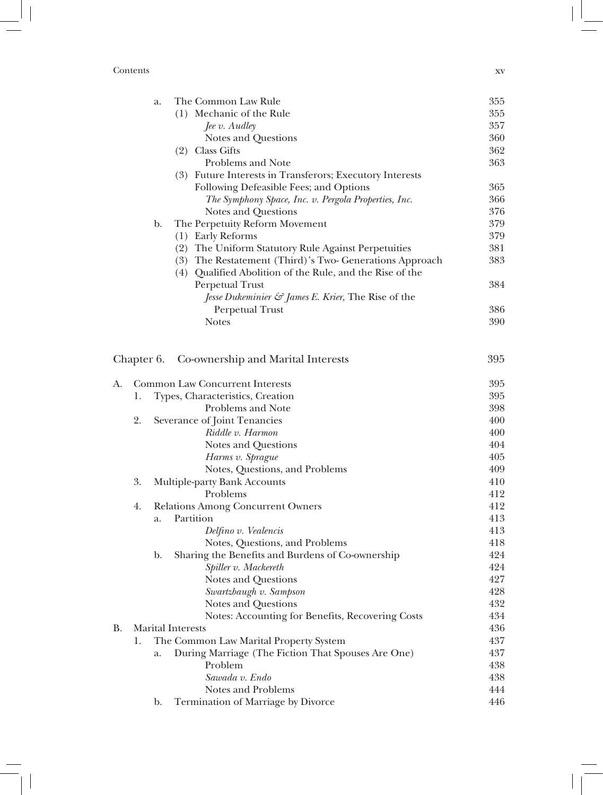#### Contents xv

|    |            | a. | The Common Law Rule                                            | 355 |
|----|------------|----|----------------------------------------------------------------|-----|
|    |            |    | (1) Mechanic of the Rule                                       | 355 |
|    |            |    | $\int$ <i>Jee v. Audley</i>                                    | 357 |
|    |            |    | Notes and Questions                                            | 360 |
|    |            |    | (2) Class Gifts                                                | 362 |
|    |            |    | Problems and Note                                              | 363 |
|    |            |    | (3) Future Interests in Transferors; Executory Interests       |     |
|    |            |    | Following Defeasible Fees; and Options                         | 365 |
|    |            |    | The Symphony Space, Inc. v. Pergola Properties, Inc.           | 366 |
|    |            |    | Notes and Questions                                            | 376 |
|    |            | b. | The Perpetuity Reform Movement                                 | 379 |
|    |            |    | (1) Early Reforms                                              | 379 |
|    |            |    | (2) The Uniform Statutory Rule Against Perpetuities            | 381 |
|    |            |    | (3) The Restatement (Third)'s Two- Generations Approach        | 383 |
|    |            |    | (4) Qualified Abolition of the Rule, and the Rise of the       |     |
|    |            |    | Perpetual Trust                                                | 384 |
|    |            |    | Jesse Dukeminier $\mathcal{C}$ James E. Krier, The Rise of the |     |
|    |            |    | Perpetual Trust                                                | 386 |
|    |            |    | <b>Notes</b>                                                   | 390 |
|    | Chapter 6. |    | Co-ownership and Marital Interests                             | 395 |
|    |            |    |                                                                |     |
| А. |            |    | <b>Common Law Concurrent Interests</b>                         | 395 |
|    | 1.         |    | Types, Characteristics, Creation                               | 395 |
|    |            |    | Problems and Note                                              | 398 |
|    | 2.         |    | Severance of Joint Tenancies                                   | 400 |
|    |            |    | Riddle v. Harmon                                               | 400 |
|    |            |    | Notes and Questions                                            | 404 |
|    |            |    | Harms v. Sprague                                               | 405 |
|    |            |    | Notes, Questions, and Problems                                 | 409 |
|    | 3.         |    | Multiple-party Bank Accounts                                   | 410 |
|    |            |    | Problems                                                       | 412 |
|    | 4.         |    | Relations Among Concurrent Owners                              | 412 |
|    |            | a. | Partition                                                      | 413 |
|    |            |    | Delfino v. Vealencis                                           | 413 |
|    |            |    | Notes, Questions, and Problems                                 | 418 |
|    |            | b. | Sharing the Benefits and Burdens of Co-ownership               | 424 |
|    |            |    | Spiller v. Mackereth                                           | 424 |
|    |            |    | Notes and Questions                                            | 427 |
|    |            |    | Swartzbaugh v. Sampson                                         | 428 |
|    |            |    | Notes and Questions                                            | 432 |
|    |            |    | Notes: Accounting for Benefits, Recovering Costs               | 434 |
| B. |            |    | <b>Marital Interests</b>                                       | 436 |
|    | 1.         |    | The Common Law Marital Property System                         | 437 |
|    |            | a. | During Marriage (The Fiction That Spouses Are One)             | 437 |
|    |            |    | Problem                                                        | 438 |
|    |            |    | Sawada v. Endo                                                 | 438 |
|    |            |    | Notes and Problems                                             | 444 |
|    |            | b. | Termination of Marriage by Divorce                             | 446 |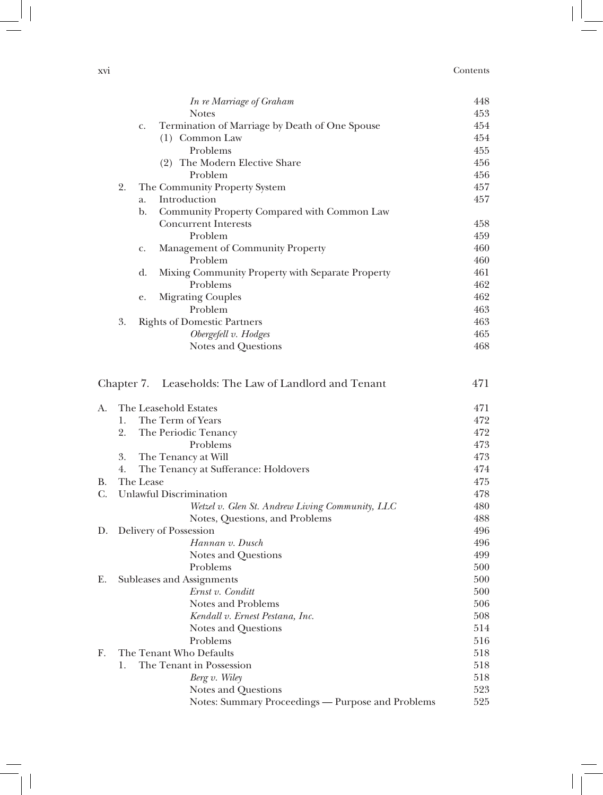#### xvi Contents

 $\overline{\phantom{a}}$ 

|             |    |             | In re Marriage of Graham                              | 448        |
|-------------|----|-------------|-------------------------------------------------------|------------|
|             |    |             | <b>Notes</b>                                          | 453        |
|             |    | $C_{\star}$ | Termination of Marriage by Death of One Spouse        | 454        |
|             |    |             | (1) Common Law                                        | 454        |
|             |    |             | Problems                                              | 455        |
|             |    |             | (2) The Modern Elective Share                         | 456        |
|             |    |             | Problem                                               | 456        |
|             | 2. |             | The Community Property System                         | 457        |
|             |    | a.          | Introduction                                          | 457        |
|             |    | b.          | Community Property Compared with Common Law           |            |
|             |    |             | <b>Concurrent Interests</b>                           | 458        |
|             |    |             | Problem                                               | 459        |
|             |    | c.          | Management of Community Property                      | 460        |
|             |    |             | Problem                                               | 460        |
|             |    | d.          | Mixing Community Property with Separate Property      | 461        |
|             |    |             | Problems                                              | 462        |
|             |    | e.          | <b>Migrating Couples</b>                              | 462        |
|             |    |             | Problem                                               | 463        |
|             | 3. |             | <b>Rights of Domestic Partners</b>                    | 463        |
|             |    |             | Obergefell v. Hodges                                  | 465        |
|             |    |             | Notes and Questions                                   | 468        |
|             |    |             | Chapter 7. Leaseholds: The Law of Landlord and Tenant | 471        |
| А.          |    |             | The Leasehold Estates                                 | 471        |
|             | 1. |             | The Term of Years                                     | 472        |
|             | 2. |             | The Periodic Tenancy                                  | 472        |
|             |    |             | Problems                                              | 473        |
|             | 3. |             | The Tenancy at Will                                   | 473        |
|             | 4. |             | The Tenancy at Sufferance: Holdovers                  | 474        |
| В.          |    | The Lease   |                                                       | 475        |
| $C_{\cdot}$ |    |             | <b>Unlawful Discrimination</b>                        | 478        |
|             |    |             | Wetzel v. Glen St. Andrew Living Community, LLC       | 480        |
|             |    |             | Notes, Questions, and Problems                        | 488<br>496 |
| D.          |    |             | Delivery of Possession<br>Hannan v. Dusch             | 496        |
|             |    |             | Notes and Questions                                   | 499        |
|             |    |             | Problems                                              | 500        |
| Е.          |    |             | Subleases and Assignments                             | 500        |
|             |    |             | Ernst v. Conditt                                      | 500        |
|             |    |             | <b>Notes and Problems</b>                             | 506        |
|             |    |             | Kendall v. Ernest Pestana, Inc.                       | 508        |
|             |    |             | Notes and Questions                                   | 514        |
|             |    |             | Problems                                              | 516        |
| F.          |    |             | The Tenant Who Defaults                               | 518        |
|             | 1. |             | The Tenant in Possession                              | 518        |
|             |    |             | Berg v. Wiley                                         | 518        |
|             |    |             | Notes and Questions                                   | 523        |
|             |    |             | Notes: Summary Proceedings - Purpose and Problems     | 525        |

 $\begin{array}{c} \hline \end{array}$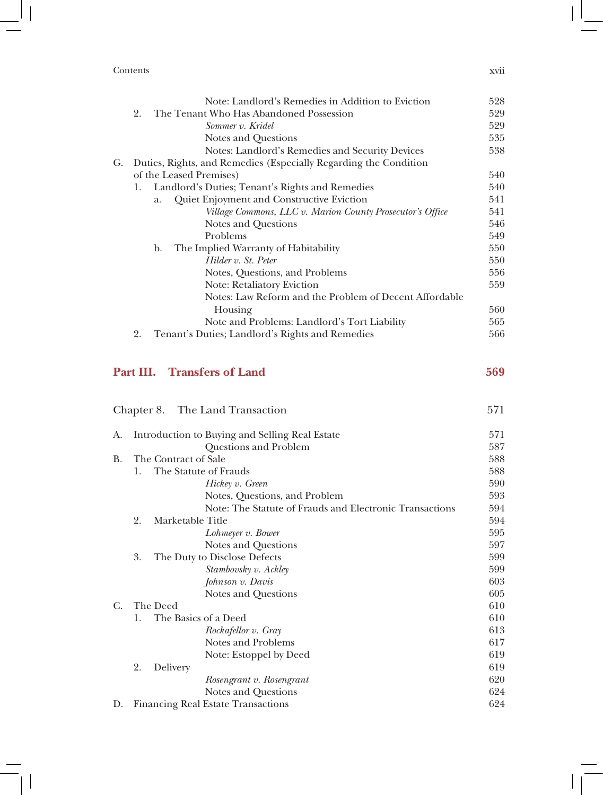Contents xvii

|    |    | Note: Landlord's Remedies in Addition to Eviction                | 528 |
|----|----|------------------------------------------------------------------|-----|
|    | 2. | The Tenant Who Has Abandoned Possession                          | 529 |
|    |    | Sommer v. Kridel                                                 | 529 |
|    |    | Notes and Questions                                              | 535 |
|    |    | Notes: Landlord's Remedies and Security Devices                  | 538 |
| G. |    | Duties, Rights, and Remedies (Especially Regarding the Condition |     |
|    |    | of the Leased Premises)                                          | 540 |
|    | 1. | Landlord's Duties; Tenant's Rights and Remedies                  | 540 |
|    |    | Quiet Enjoyment and Constructive Eviction<br>a.                  | 541 |
|    |    | Village Commons, LLC v. Marion County Prosecutor's Office        | 541 |
|    |    | Notes and Questions                                              | 546 |
|    |    | Problems                                                         | 549 |
|    |    | The Implied Warranty of Habitability<br>b.                       | 550 |
|    |    | Hilder v. St. Peter                                              | 550 |
|    |    | Notes, Questions, and Problems                                   | 556 |
|    |    | <b>Note: Retaliatory Eviction</b>                                | 559 |
|    |    | Notes: Law Reform and the Problem of Decent Affordable           |     |
|    |    | Housing                                                          | 560 |
|    |    | Note and Problems: Landlord's Tort Liability                     | 565 |
|    | 2. | Tenant's Duties; Landlord's Rights and Remedies                  | 566 |
|    |    |                                                                  |     |

### **Part III. Transfers of Land 569**

Chapter 8. The Land Transaction 571 A. Introduction to Buying and Selling Real Estate 571 Questions and Problem 587 B. The Contract of Sale 588 1. The Statute of Frauds 588 *Hickey v. Green* 590 Notes, Questions, and Problem 593 Note: The Statute of Frauds and Electronic Transactions 594 2. Marketable Title 594 *Lohmeyer v. Bower* 595 Notes and Questions 597 3. The Duty to Disclose Defects 599 *Stambovsky v. Ackley* 599 *Johnson v. Davis* 603 Notes and Questions 605 C. The Deed 610 1. The Basics of a Deed 610 *Rockafellor v. Gray* 613 Notes and Problems 617 Note: Estoppel by Deed 619 2. Delivery 619 *Rosengrant v. Rosengrant* 620 Notes and Questions 624 D. Financing Real Estate Transactions 624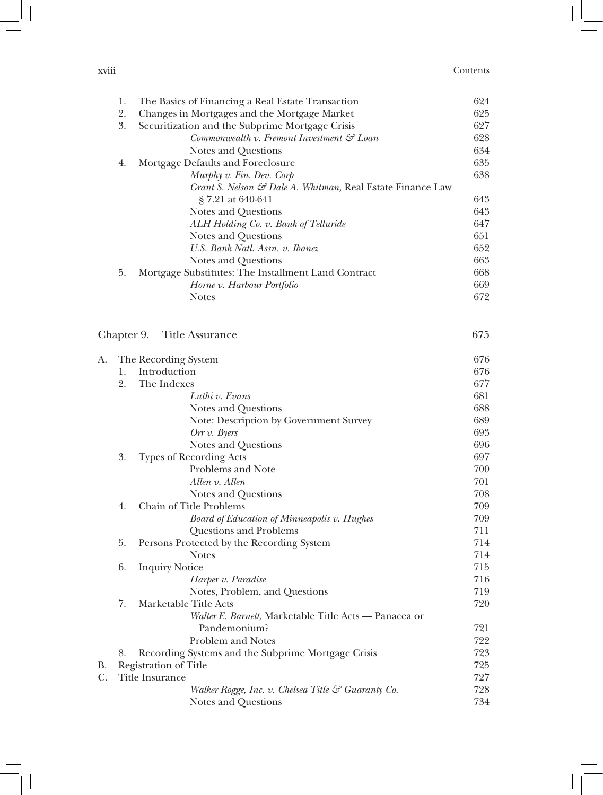| $\cdots$<br><b>XV111</b> | Contents |
|--------------------------|----------|
| .                        |          |

|    | 1.         | The Basics of Financing a Real Estate Transaction          | 624 |
|----|------------|------------------------------------------------------------|-----|
|    | 2.         | Changes in Mortgages and the Mortgage Market               | 625 |
|    | 3.         | Securitization and the Subprime Mortgage Crisis            | 627 |
|    |            | Commonwealth v. Fremont Investment $\mathcal{C}$ Loan      | 628 |
|    |            | Notes and Questions                                        | 634 |
|    | 4.         | Mortgage Defaults and Foreclosure                          | 635 |
|    |            | Murphy v. Fin. Dev. Corp                                   | 638 |
|    |            | Grant S. Nelson & Dale A. Whitman, Real Estate Finance Law |     |
|    |            | § 7.21 at 640-641                                          | 643 |
|    |            | Notes and Questions                                        | 643 |
|    |            | ALH Holding Co. v. Bank of Telluride                       | 647 |
|    |            | Notes and Questions                                        | 651 |
|    |            | U.S. Bank Natl. Assn. v. Ibanez                            | 652 |
|    |            | Notes and Questions                                        | 663 |
|    | 5.         | Mortgage Substitutes: The Installment Land Contract        | 668 |
|    |            | Horne v. Harbour Portfolio                                 | 669 |
|    |            | <b>Notes</b>                                               | 672 |
|    |            |                                                            |     |
|    | Chapter 9. | Title Assurance                                            | 675 |
| А. |            | The Recording System                                       | 676 |
|    | 1.         | Introduction                                               | 676 |
|    | 2.         | The Indexes                                                | 677 |
|    |            | Luthi v. Evans                                             | 681 |
|    |            | Notes and Questions                                        | 688 |
|    |            | Note: Description by Government Survey                     | 689 |
|    |            | Orr $v$ . Byers                                            | 693 |
|    |            | Notes and Questions                                        | 696 |
|    | 3.         | <b>Types of Recording Acts</b>                             | 697 |
|    |            | Problems and Note                                          | 700 |
|    |            | Allen v. Allen                                             | 701 |
|    |            | Notes and Questions                                        | 708 |
|    | 4.         | Chain of Title Problems                                    | 709 |
|    |            | Board of Education of Minneapolis v. Hughes                | 709 |
|    |            | Questions and Problems                                     | 711 |
|    | 5.         | Persons Protected by the Recording System                  | 714 |
|    |            | <b>Notes</b>                                               | 714 |
|    | 6.         | <b>Inquiry Notice</b>                                      | 715 |
|    |            | Harper v. Paradise                                         | 716 |
|    |            | Notes, Problem, and Questions                              | 719 |
|    | 7.         | Marketable Title Acts                                      | 720 |
|    |            | Walter E. Barnett, Marketable Title Acts - Panacea or      |     |
|    |            | Pandemonium?                                               | 721 |
|    |            | <b>Problem and Notes</b>                                   | 722 |
|    | 8.         | Recording Systems and the Subprime Mortgage Crisis         | 723 |
| В. |            | Registration of Title                                      | 725 |
| C. |            | Title Insurance                                            | 727 |
|    |            | Walker Rogge, Inc. v. Chelsea Title & Guaranty Co.         | 728 |
|    |            | Notes and Questions                                        | 734 |

 $\begin{array}{c} \hline \end{array}$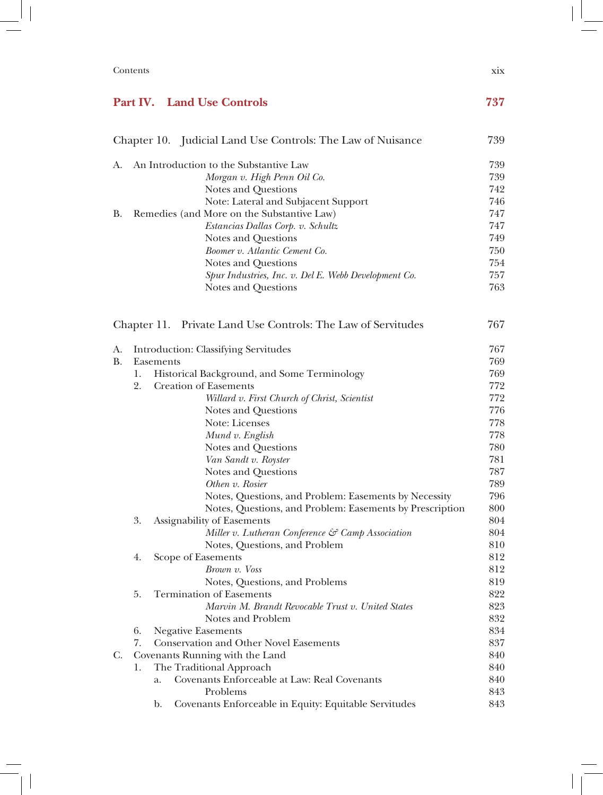| Contents | X1X<br>. |
|----------|----------|
|----------|----------|

## **Part IV. Land Use Controls 737**

|           |    | Chapter 10. Judicial Land Use Controls: The Law of Nuisance             | 739 |
|-----------|----|-------------------------------------------------------------------------|-----|
| A.        |    | An Introduction to the Substantive Law                                  | 739 |
|           |    | Morgan v. High Penn Oil Co.                                             | 739 |
|           |    | Notes and Questions                                                     | 742 |
|           |    | Note: Lateral and Subjacent Support                                     | 746 |
| В.        |    | Remedies (and More on the Substantive Law)                              | 747 |
|           |    | Estancias Dallas Corp. v. Schultz                                       | 747 |
|           |    | Notes and Questions                                                     | 749 |
|           |    | Boomer v. Atlantic Cement Co.                                           | 750 |
|           |    | Notes and Questions                                                     | 754 |
|           |    | Spur Industries, Inc. v. Del E. Webb Development Co.                    | 757 |
|           |    | Notes and Questions                                                     | 763 |
|           |    | Chapter 11. Private Land Use Controls: The Law of Servitudes            | 767 |
| A.        |    | Introduction: Classifying Servitudes                                    | 767 |
| <b>B.</b> |    | Easements                                                               | 769 |
|           | 1. | Historical Background, and Some Terminology                             | 769 |
|           | 2. | <b>Creation of Easements</b>                                            | 772 |
|           |    | Willard v. First Church of Christ, Scientist                            | 772 |
|           |    | Notes and Questions                                                     | 776 |
|           |    | Note: Licenses                                                          | 778 |
|           |    | Mund v. English                                                         | 778 |
|           |    | Notes and Questions                                                     | 780 |
|           |    | Van Sandt v. Royster                                                    | 781 |
|           |    | Notes and Questions                                                     | 787 |
|           |    | Othen v. Rosier                                                         | 789 |
|           |    | Notes, Questions, and Problem: Easements by Necessity                   | 796 |
|           |    | Notes, Questions, and Problem: Easements by Prescription                | 800 |
|           | 3. | Assignability of Easements                                              | 804 |
|           |    | Miller v. Lutheran Conference & Camp Association                        | 804 |
|           |    | Notes, Questions, and Problem                                           | 810 |
|           | 4. | Scope of Easements                                                      | 812 |
|           |    | Brown v. Voss                                                           | 812 |
|           |    | Notes, Questions, and Problems                                          | 819 |
|           | 5. | <b>Termination of Easements</b>                                         | 822 |
|           |    | Marvin M. Brandt Revocable Trust v. United States                       | 823 |
|           |    | Notes and Problem                                                       | 832 |
|           | 6. | <b>Negative Easements</b>                                               | 834 |
|           | 7. | <b>Conservation and Other Novel Easements</b>                           | 837 |
| C.        |    | Covenants Running with the Land                                         | 840 |
|           | 1. | The Traditional Approach                                                | 840 |
|           |    | Covenants Enforceable at Law: Real Covenants<br>a.                      | 840 |
|           |    | Problems                                                                | 843 |
|           |    | Covenants Enforceable in Equity: Equitable Servitudes<br>$\mathbf{b}$ . | 843 |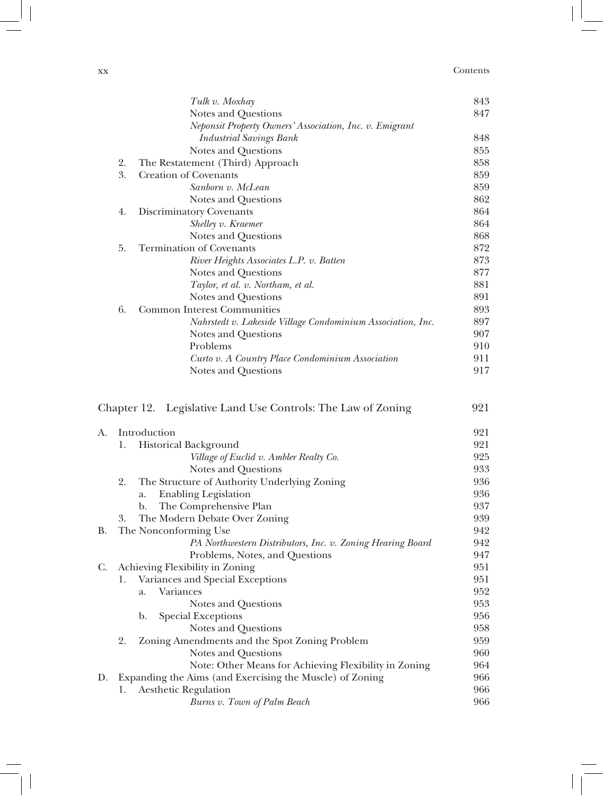#### xx Contents

|    |    | Tulk v. Moxhay                                               | 843 |
|----|----|--------------------------------------------------------------|-----|
|    |    | Notes and Questions                                          | 847 |
|    |    | Neponsit Property Owners' Association, Inc. v. Emigrant      |     |
|    |    | <b>Industrial Savings Bank</b>                               | 848 |
|    |    | Notes and Questions                                          | 855 |
|    | 2. | The Restatement (Third) Approach                             | 858 |
|    | 3. | <b>Creation of Covenants</b>                                 | 859 |
|    |    | Sanborn v. McLean                                            | 859 |
|    |    | Notes and Questions                                          | 862 |
|    | 4. | Discriminatory Covenants                                     | 864 |
|    |    | Shelley v. Kraemer                                           | 864 |
|    |    | Notes and Questions                                          | 868 |
|    | 5. | <b>Termination of Covenants</b>                              | 872 |
|    |    | River Heights Associates L.P. v. Batten                      | 873 |
|    |    | Notes and Questions                                          | 877 |
|    |    | Taylor, et al. v. Northam, et al.                            | 881 |
|    |    | Notes and Questions                                          | 891 |
|    | 6. | <b>Common Interest Communities</b>                           | 893 |
|    |    | Nahrstedt v. Lakeside Village Condominium Association, Inc.  | 897 |
|    |    | Notes and Questions                                          | 907 |
|    |    | Problems                                                     | 910 |
|    |    | Curto v. A Country Place Condominium Association             | 911 |
|    |    | Notes and Questions                                          | 917 |
|    |    | Chapter 12. Legislative Land Use Controls: The Law of Zoning | 921 |
| А. |    | Introduction                                                 | 921 |
|    | 1. | Historical Background                                        | 921 |
|    |    | Village of Euclid v. Ambler Realty Co.                       | 925 |
|    |    | Notes and Questions                                          | 933 |
|    | 2. | The Structure of Authority Underlying Zoning                 | 936 |
|    |    | <b>Enabling Legislation</b><br>a.                            | 936 |
|    |    | The Comprehensive Plan<br>b.                                 | 937 |
|    | 3. | The Modern Debate Over Zoning                                | 939 |
| В. |    | The Nonconforming Use                                        | 942 |
|    |    | PA Northwestern Distributors, Inc. v. Zoning Hearing Board   | 942 |
|    |    | Problems, Notes, and Questions                               | 947 |
| C. |    | Achieving Flexibility in Zoning                              | 951 |
|    | 1. | Variances and Special Exceptions                             | 951 |
|    |    | Variances<br>a.                                              | 952 |
|    |    | Notes and Questions                                          | 953 |

b. Special Exceptions 956

2. Zoning Amendments and the Spot Zoning Problem 959

D. Expanding the Aims (and Exercising the Muscle) of Zoning 966 1. Aesthetic Regulation 966

Notes and Questions 958

Notes and Questions 960 Note: Other Means for Achieving Flexibility in Zoning 964

*Burns v. Town of Palm Beach* 966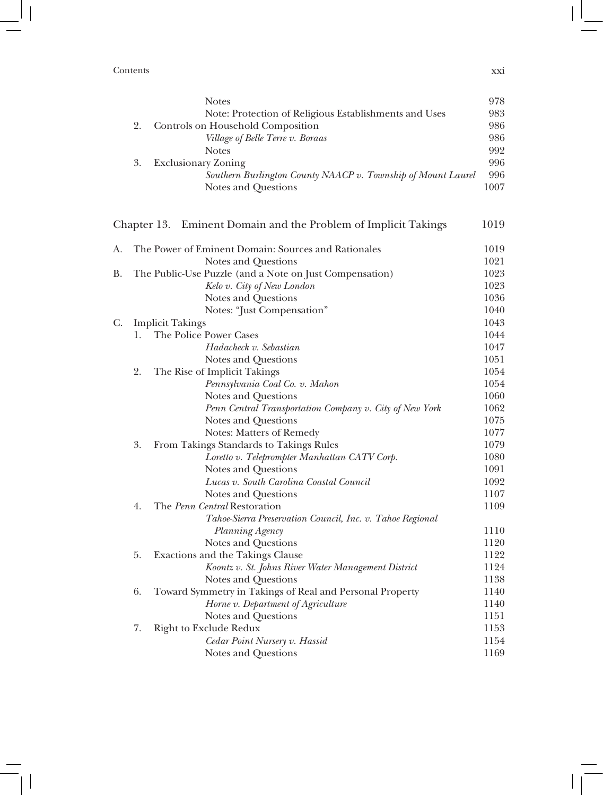Contents xxi

|    | <b>Notes</b>                                                 | 978  |
|----|--------------------------------------------------------------|------|
|    | Note: Protection of Religious Establishments and Uses        | 983  |
|    | Controls on Household Composition                            | 986  |
|    | Village of Belle Terre v. Boraas                             | 986  |
|    | <b>Notes</b>                                                 | 992  |
| 3. | Exclusionary Zoning                                          | 996  |
|    | Southern Burlington County NAACP v. Township of Mount Laurel | 996  |
|    | Notes and Questions                                          | 1007 |

|    |    | Chapter 13. Eminent Domain and the Problem of Implicit Takings | 1019 |
|----|----|----------------------------------------------------------------|------|
| A. |    | The Power of Eminent Domain: Sources and Rationales            | 1019 |
|    |    | Notes and Questions                                            | 1021 |
| B. |    | The Public-Use Puzzle (and a Note on Just Compensation)        | 1023 |
|    |    | Kelo v. City of New London                                     | 1023 |
|    |    | Notes and Questions                                            | 1036 |
|    |    | Notes: "Just Compensation"                                     | 1040 |
| C. |    | <b>Implicit Takings</b>                                        | 1043 |
|    | 1. | The Police Power Cases                                         | 1044 |
|    |    | Hadacheck v. Sebastian                                         | 1047 |
|    |    | Notes and Questions                                            | 1051 |
|    | 2. | The Rise of Implicit Takings                                   | 1054 |
|    |    | Pennsylvania Coal Co. v. Mahon                                 | 1054 |
|    |    | Notes and Questions                                            | 1060 |
|    |    | Penn Central Transportation Company v. City of New York        | 1062 |
|    |    | Notes and Questions                                            | 1075 |
|    |    | Notes: Matters of Remedy                                       | 1077 |
|    | 3. | From Takings Standards to Takings Rules                        | 1079 |
|    |    | Loretto v. Teleprompter Manhattan CATV Corp.                   | 1080 |
|    |    | Notes and Questions                                            | 1091 |
|    |    | Lucas v. South Carolina Coastal Council                        | 1092 |
|    |    | Notes and Questions                                            | 1107 |
|    | 4. | The Penn Central Restoration                                   | 1109 |
|    |    | Tahoe-Sierra Preservation Council, Inc. v. Tahoe Regional      |      |
|    |    | Planning Agency                                                | 1110 |
|    |    | Notes and Questions                                            | 1120 |
|    | 5. | Exactions and the Takings Clause                               | 1122 |
|    |    | Koontz v. St. Johns River Water Management District            | 1124 |
|    |    | Notes and Questions                                            | 1138 |
|    | 6. | Toward Symmetry in Takings of Real and Personal Property       | 1140 |
|    |    | Horne v. Department of Agriculture                             | 1140 |
|    |    | Notes and Questions                                            | 1151 |
|    | 7. | <b>Right to Exclude Redux</b>                                  | 1153 |
|    |    | Cedar Point Nursery v. Hassid                                  | 1154 |
|    |    | Notes and Questions                                            | 1169 |